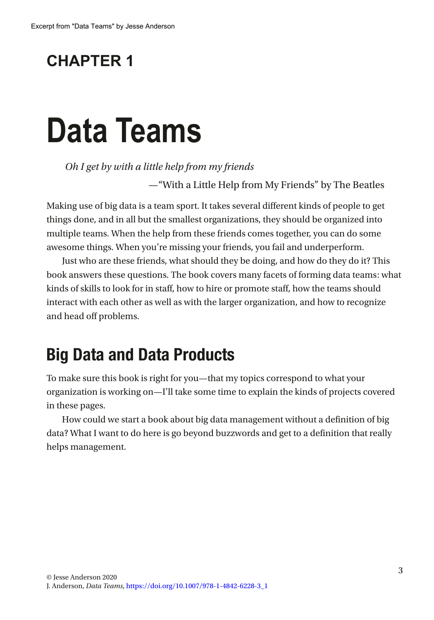# **CHAPTER 1**

# **Data Teams**

*Oh I get by with a little help from my friends*

—"With a Little Help from My Friends" by The Beatles

Making use of big data is a team sport. It takes several different kinds of people to get things done, and in all but the smallest organizations, they should be organized into multiple teams. When the help from these friends comes together, you can do some awesome things. When you're missing your friends, you fail and underperform.

Just who are these friends, what should they be doing, and how do they do it? This book answers these questions. The book covers many facets of forming data teams: what kinds of skills to look for in staff, how to hire or promote staff, how the teams should interact with each other as well as with the larger organization, and how to recognize and head off problems.

# Big Data and Data Products

To make sure this book is right for you—that my topics correspond to what your organization is working on—I'll take some time to explain the kinds of projects covered in these pages.

How could we start a book about big data management without a definition of big data? What I want to do here is go beyond buzzwords and get to a definition that really helps management.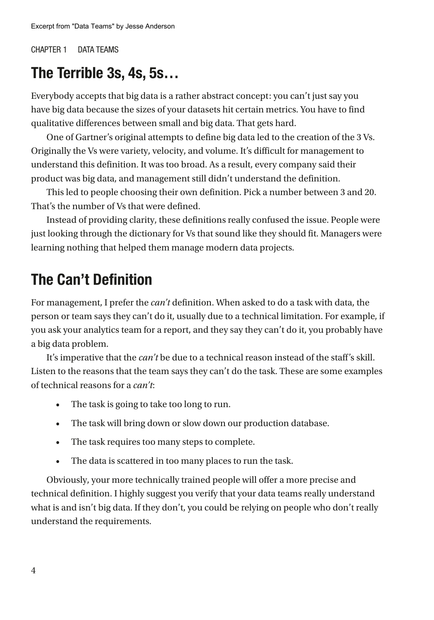#### The Terrible 3s, 4s, 5s…

Everybody accepts that big data is a rather abstract concept: you can't just say you have big data because the sizes of your datasets hit certain metrics. You have to find qualitative differences between small and big data. That gets hard.

One of Gartner's original attempts to define big data led to the creation of the 3 Vs. Originally the Vs were variety, velocity, and volume. It's difficult for management to understand this definition. It was too broad. As a result, every company said their product was big data, and management still didn't understand the definition.

This led to people choosing their own definition. Pick a number between 3 and 20. That's the number of Vs that were defined.

Instead of providing clarity, these definitions really confused the issue. People were just looking through the dictionary for Vs that sound like they should fit. Managers were learning nothing that helped them manage modern data projects.

### The Can't Definition

For management, I prefer the *can't* definition. When asked to do a task with data, the person or team says they can't do it, usually due to a technical limitation. For example, if you ask your analytics team for a report, and they say they can't do it, you probably have a big data problem.

It's imperative that the *can't* be due to a technical reason instead of the staff's skill. Listen to the reasons that the team says they can't do the task. These are some examples of technical reasons for a *can't*:

- The task is going to take too long to run.
- The task will bring down or slow down our production database.
- The task requires too many steps to complete.
- The data is scattered in too many places to run the task.

Obviously, your more technically trained people will offer a more precise and technical definition. I highly suggest you verify that your data teams really understand what is and isn't big data. If they don't, you could be relying on people who don't really understand the requirements.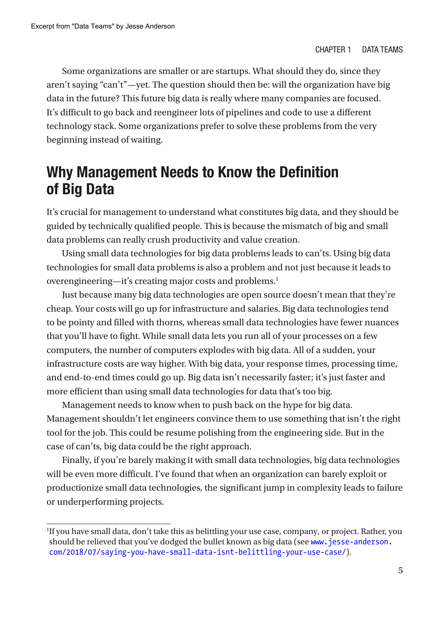Some organizations are smaller or are startups. What should they do, since they aren't saying "can't"—yet. The question should then be: will the organization have big data in the future? This future big data is really where many companies are focused. It's difficult to go back and reengineer lots of pipelines and code to use a different technology stack. Some organizations prefer to solve these problems from the very beginning instead of waiting.

## Why Management Needs to Know the Definition of Big Data

It's crucial for management to understand what constitutes big data, and they should be guided by technically qualified people. This is because the mismatch of big and small data problems can really crush productivity and value creation.

Using small data technologies for big data problems leads to can'ts. Using big data technologies for small data problems is also a problem and not just because it leads to overengineering—it's creating major costs and problems[.1](#page-2-0)

Just because many big data technologies are open source doesn't mean that they're cheap. Your costs will go up for infrastructure and salaries. Big data technologies tend to be pointy and filled with thorns, whereas small data technologies have fewer nuances that you'll have to fight. While small data lets you run all of your processes on a few computers, the number of computers explodes with big data. All of a sudden, your infrastructure costs are way higher. With big data, your response times, processing time, and end-to-end times could go up. Big data isn't necessarily faster; it's just faster and more efficient than using small data technologies for data that's too big.

Management needs to know when to push back on the hype for big data. Management shouldn't let engineers convince them to use something that isn't the right tool for the job. This could be resume polishing from the engineering side. But in the case of can'ts, big data could be the right approach.

Finally, if you're barely making it with small data technologies, big data technologies will be even more difficult. I've found that when an organization can barely exploit or productionize small data technologies, the significant jump in complexity leads to failure or underperforming projects.

<span id="page-2-0"></span><sup>1</sup> If you have small data, don't take this as belittling your use case, company, or project. Rather, you should be relieved that you've dodged the bullet known as big data (see [www.jesse-anderson.](http://www.jesse-anderson.com/2018/07/saying-you-have-small-data-isnt-belittling-your-use-case/) [com/2018/07/saying-you-have-small-data-isnt-belittling-your-use-case/](http://www.jesse-anderson.com/2018/07/saying-you-have-small-data-isnt-belittling-your-use-case/)).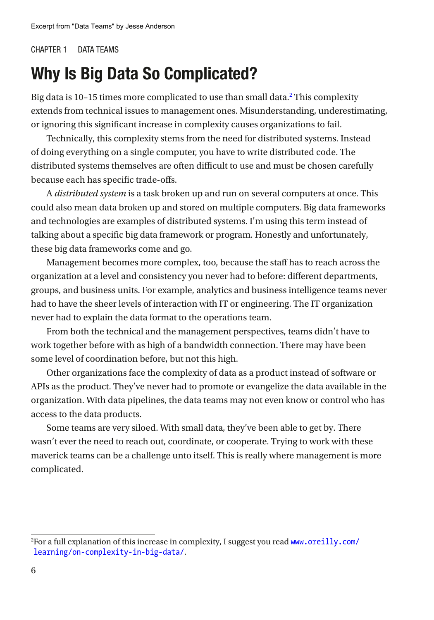## Why Is Big Data So Complicated?

Big data is 10-15 times more complicated to use than small data.<sup>2</sup> This complexity extends from technical issues to management ones. Misunderstanding, underestimating, or ignoring this significant increase in complexity causes organizations to fail.

Technically, this complexity stems from the need for distributed systems. Instead of doing everything on a single computer, you have to write distributed code. The distributed systems themselves are often difficult to use and must be chosen carefully because each has specific trade-offs.

A *distributed system* is a task broken up and run on several computers at once. This could also mean data broken up and stored on multiple computers. Big data frameworks and technologies are examples of distributed systems. I'm using this term instead of talking about a specific big data framework or program. Honestly and unfortunately, these big data frameworks come and go.

Management becomes more complex, too, because the staff has to reach across the organization at a level and consistency you never had to before: different departments, groups, and business units. For example, analytics and business intelligence teams never had to have the sheer levels of interaction with IT or engineering. The IT organization never had to explain the data format to the operations team.

From both the technical and the management perspectives, teams didn't have to work together before with as high of a bandwidth connection. There may have been some level of coordination before, but not this high.

Other organizations face the complexity of data as a product instead of software or APIs as the product. They've never had to promote or evangelize the data available in the organization. With data pipelines, the data teams may not even know or control who has access to the data products.

Some teams are very siloed. With small data, they've been able to get by. There wasn't ever the need to reach out, coordinate, or cooperate. Trying to work with these maverick teams can be a challenge unto itself. This is really where management is more complicated.

<span id="page-3-0"></span><sup>&</sup>lt;sup>2</sup> For a full explanation of this increase in complexity, I suggest you read [www.oreilly.com/](https://www.oreilly.com/learning/on-complexity-in-big-data/) [learning/on-complexity-in-big-data/](https://www.oreilly.com/learning/on-complexity-in-big-data/).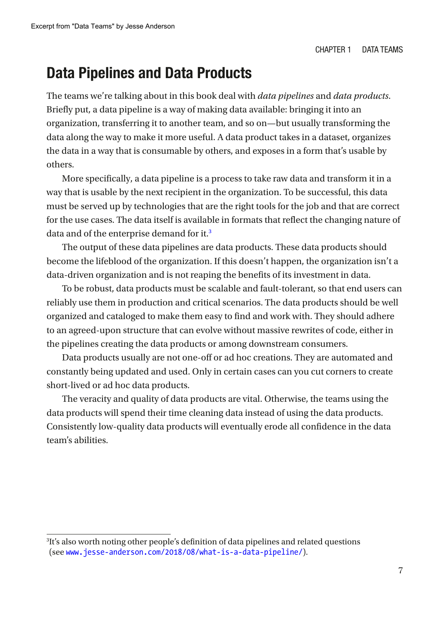### Data Pipelines and Data Products

The teams we're talking about in this book deal with *data pipelines* and *data products*. Briefly put, a data pipeline is a way of making data available: bringing it into an organization, transferring it to another team, and so on—but usually transforming the data along the way to make it more useful. A data product takes in a dataset, organizes the data in a way that is consumable by others, and exposes in a form that's usable by others.

More specifically, a data pipeline is a process to take raw data and transform it in a way that is usable by the next recipient in the organization. To be successful, this data must be served up by technologies that are the right tools for the job and that are correct for the use cases. The data itself is available in formats that reflect the changing nature of data and of the enterprise demand for it.<sup>3</sup>

The output of these data pipelines are data products. These data products should become the lifeblood of the organization. If this doesn't happen, the organization isn't a data-driven organization and is not reaping the benefits of its investment in data.

To be robust, data products must be scalable and fault-tolerant, so that end users can reliably use them in production and critical scenarios. The data products should be well organized and cataloged to make them easy to find and work with. They should adhere to an agreed-upon structure that can evolve without massive rewrites of code, either in the pipelines creating the data products or among downstream consumers.

Data products usually are not one-off or ad hoc creations. They are automated and constantly being updated and used. Only in certain cases can you cut corners to create short-lived or ad hoc data products.

The veracity and quality of data products are vital. Otherwise, the teams using the data products will spend their time cleaning data instead of using the data products. Consistently low-quality data products will eventually erode all confidence in the data team's abilities.

<span id="page-4-0"></span><sup>3</sup> It's also worth noting other people's definition of data pipelines and related questions (see [www.jesse-anderson.com/2018/08/what-is-a-data-pipeline/](http://www.jesse-anderson.com/2018/08/what-is-a-data-pipeline/)).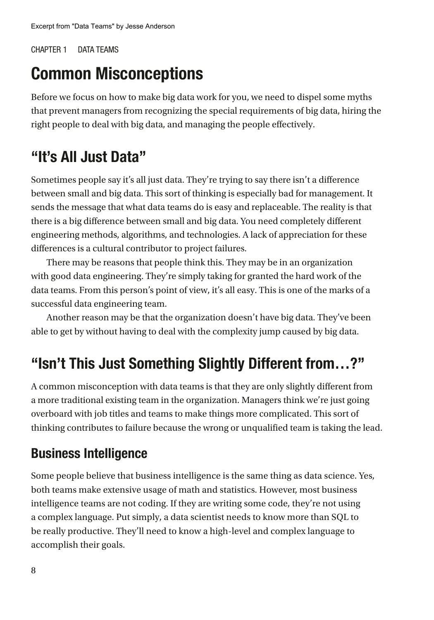# Common Misconceptions

Before we focus on how to make big data work for you, we need to dispel some myths that prevent managers from recognizing the special requirements of big data, hiring the right people to deal with big data, and managing the people effectively.

## "It's All Just Data"

Sometimes people say it's all just data. They're trying to say there isn't a difference between small and big data. This sort of thinking is especially bad for management. It sends the message that what data teams do is easy and replaceable. The reality is that there is a big difference between small and big data. You need completely different engineering methods, algorithms, and technologies. A lack of appreciation for these differences is a cultural contributor to project failures.

There may be reasons that people think this. They may be in an organization with good data engineering. They're simply taking for granted the hard work of the data teams. From this person's point of view, it's all easy. This is one of the marks of a successful data engineering team.

Another reason may be that the organization doesn't have big data. They've been able to get by without having to deal with the complexity jump caused by big data.

## "Isn't This Just Something Slightly Different from…?"

A common misconception with data teams is that they are only slightly different from a more traditional existing team in the organization. Managers think we're just going overboard with job titles and teams to make things more complicated. This sort of thinking contributes to failure because the wrong or unqualified team is taking the lead.

#### Business Intelligence

Some people believe that business intelligence is the same thing as data science. Yes, both teams make extensive usage of math and statistics. However, most business intelligence teams are not coding. If they are writing some code, they're not using a complex language. Put simply, a data scientist needs to know more than SQL to be really productive. They'll need to know a high-level and complex language to accomplish their goals.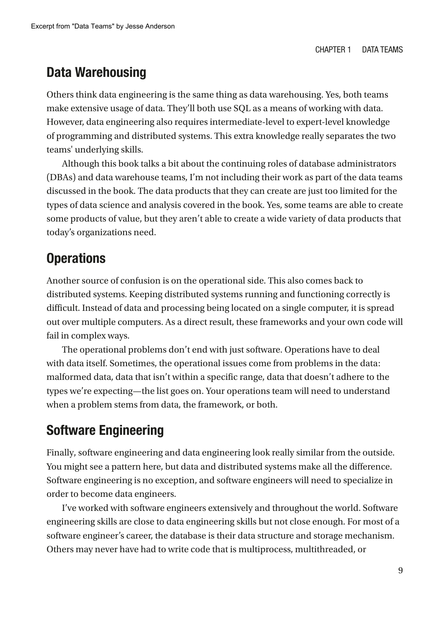#### Data Warehousing

Others think data engineering is the same thing as data warehousing. Yes, both teams make extensive usage of data. They'll both use SQL as a means of working with data. However, data engineering also requires intermediate-level to expert-level knowledge of programming and distributed systems. This extra knowledge really separates the two teams' underlying skills.

Although this book talks a bit about the continuing roles of database administrators (DBAs) and data warehouse teams, I'm not including their work as part of the data teams discussed in the book. The data products that they can create are just too limited for the types of data science and analysis covered in the book. Yes, some teams are able to create some products of value, but they aren't able to create a wide variety of data products that today's organizations need.

#### **Operations**

Another source of confusion is on the operational side. This also comes back to distributed systems. Keeping distributed systems running and functioning correctly is difficult. Instead of data and processing being located on a single computer, it is spread out over multiple computers. As a direct result, these frameworks and your own code will fail in complex ways.

The operational problems don't end with just software. Operations have to deal with data itself. Sometimes, the operational issues come from problems in the data: malformed data, data that isn't within a specific range, data that doesn't adhere to the types we're expecting—the list goes on. Your operations team will need to understand when a problem stems from data, the framework, or both.

#### Software Engineering

Finally, software engineering and data engineering look really similar from the outside. You might see a pattern here, but data and distributed systems make all the difference. Software engineering is no exception, and software engineers will need to specialize in order to become data engineers.

I've worked with software engineers extensively and throughout the world. Software engineering skills are close to data engineering skills but not close enough. For most of a software engineer's career, the database is their data structure and storage mechanism. Others may never have had to write code that is multiprocess, multithreaded, or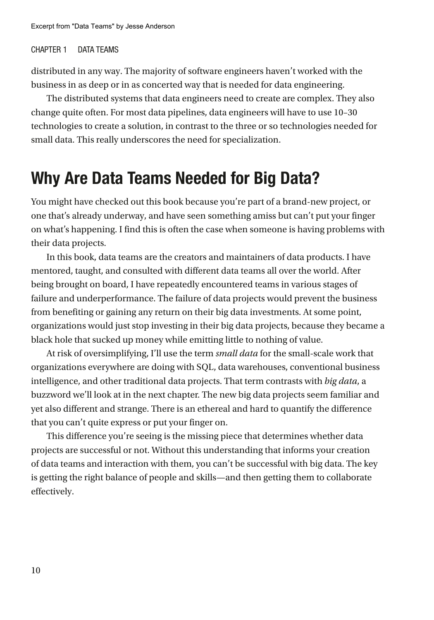distributed in any way. The majority of software engineers haven't worked with the business in as deep or in as concerted way that is needed for data engineering.

The distributed systems that data engineers need to create are complex. They also change quite often. For most data pipelines, data engineers will have to use 10–30 technologies to create a solution, in contrast to the three or so technologies needed for small data. This really underscores the need for specialization.

## Why Are Data Teams Needed for Big Data?

You might have checked out this book because you're part of a brand-new project, or one that's already underway, and have seen something amiss but can't put your finger on what's happening. I find this is often the case when someone is having problems with their data projects.

In this book, data teams are the creators and maintainers of data products. I have mentored, taught, and consulted with different data teams all over the world. After being brought on board, I have repeatedly encountered teams in various stages of failure and underperformance. The failure of data projects would prevent the business from benefiting or gaining any return on their big data investments. At some point, organizations would just stop investing in their big data projects, because they became a black hole that sucked up money while emitting little to nothing of value.

At risk of oversimplifying, I'll use the term *small data* for the small-scale work that organizations everywhere are doing with SQL, data warehouses, conventional business intelligence, and other traditional data projects. That term contrasts with *big data*, a buzzword we'll look at in the next chapter. The new big data projects seem familiar and yet also different and strange. There is an ethereal and hard to quantify the difference that you can't quite express or put your finger on.

This difference you're seeing is the missing piece that determines whether data projects are successful or not. Without this understanding that informs your creation of data teams and interaction with them, you can't be successful with big data. The key is getting the right balance of people and skills—and then getting them to collaborate effectively.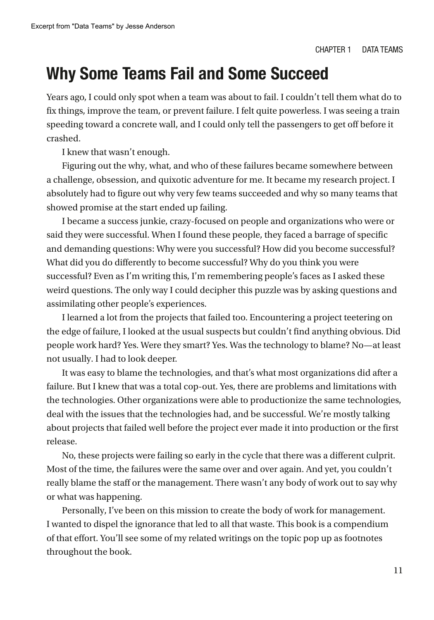## Why Some Teams Fail and Some Succeed

Years ago, I could only spot when a team was about to fail. I couldn't tell them what do to fix things, improve the team, or prevent failure. I felt quite powerless. I was seeing a train speeding toward a concrete wall, and I could only tell the passengers to get off before it crashed.

I knew that wasn't enough.

Figuring out the why, what, and who of these failures became somewhere between a challenge, obsession, and quixotic adventure for me. It became my research project. I absolutely had to figure out why very few teams succeeded and why so many teams that showed promise at the start ended up failing.

I became a success junkie, crazy-focused on people and organizations who were or said they were successful. When I found these people, they faced a barrage of specific and demanding questions: Why were you successful? How did you become successful? What did you do differently to become successful? Why do you think you were successful? Even as I'm writing this, I'm remembering people's faces as I asked these weird questions. The only way I could decipher this puzzle was by asking questions and assimilating other people's experiences.

I learned a lot from the projects that failed too. Encountering a project teetering on the edge of failure, I looked at the usual suspects but couldn't find anything obvious. Did people work hard? Yes. Were they smart? Yes. Was the technology to blame? No—at least not usually. I had to look deeper.

It was easy to blame the technologies, and that's what most organizations did after a failure. But I knew that was a total cop-out. Yes, there are problems and limitations with the technologies. Other organizations were able to productionize the same technologies, deal with the issues that the technologies had, and be successful. We're mostly talking about projects that failed well before the project ever made it into production or the first release.

No, these projects were failing so early in the cycle that there was a different culprit. Most of the time, the failures were the same over and over again. And yet, you couldn't really blame the staff or the management. There wasn't any body of work out to say why or what was happening.

Personally, I've been on this mission to create the body of work for management. I wanted to dispel the ignorance that led to all that waste. This book is a compendium of that effort. You'll see some of my related writings on the topic pop up as footnotes throughout the book.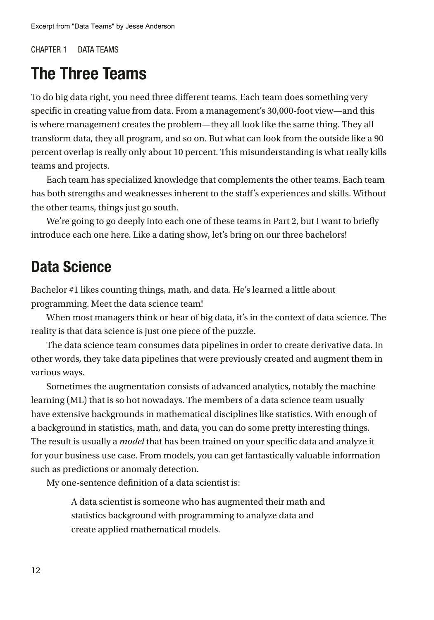## The Three Teams

To do big data right, you need three different teams. Each team does something very specific in creating value from data. From a management's 30,000-foot view—and this is where management creates the problem—they all look like the same thing. They all transform data, they all program, and so on. But what can look from the outside like a 90 percent overlap is really only about 10 percent. This misunderstanding is what really kills teams and projects.

Each team has specialized knowledge that complements the other teams. Each team has both strengths and weaknesses inherent to the staff's experiences and skills. Without the other teams, things just go south.

We're going to go deeply into each one of these teams in Part 2, but I want to briefly introduce each one here. Like a dating show, let's bring on our three bachelors!

### Data Science

Bachelor #1 likes counting things, math, and data. He's learned a little about programming. Meet the data science team!

When most managers think or hear of big data, it's in the context of data science. The reality is that data science is just one piece of the puzzle.

The data science team consumes data pipelines in order to create derivative data. In other words, they take data pipelines that were previously created and augment them in various ways.

Sometimes the augmentation consists of advanced analytics, notably the machine learning (ML) that is so hot nowadays. The members of a data science team usually have extensive backgrounds in mathematical disciplines like statistics. With enough of a background in statistics, math, and data, you can do some pretty interesting things. The result is usually a *model* that has been trained on your specific data and analyze it for your business use case. From models, you can get fantastically valuable information such as predictions or anomaly detection.

My one-sentence definition of a data scientist is:

A data scientist is someone who has augmented their math and statistics background with programming to analyze data and create applied mathematical models.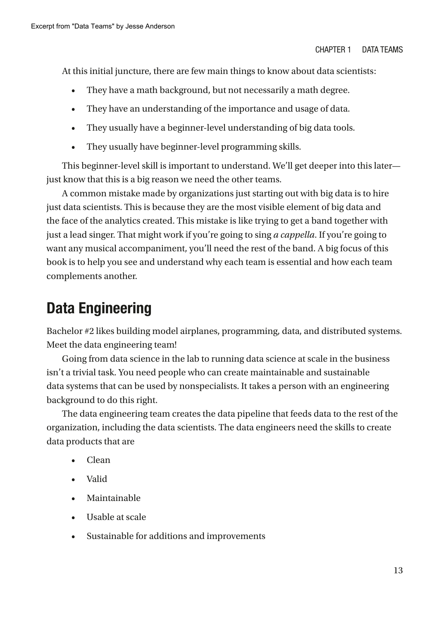At this initial juncture, there are few main things to know about data scientists:

- They have a math background, but not necessarily a math degree.
- They have an understanding of the importance and usage of data.
- They usually have a beginner-level understanding of big data tools.
- They usually have beginner-level programming skills.

This beginner-level skill is important to understand. We'll get deeper into this later just know that this is a big reason we need the other teams.

A common mistake made by organizations just starting out with big data is to hire just data scientists. This is because they are the most visible element of big data and the face of the analytics created. This mistake is like trying to get a band together with just a lead singer. That might work if you're going to sing *a cappella*. If you're going to want any musical accompaniment, you'll need the rest of the band. A big focus of this book is to help you see and understand why each team is essential and how each team complements another.

## Data Engineering

Bachelor #2 likes building model airplanes, programming, data, and distributed systems. Meet the data engineering team!

Going from data science in the lab to running data science at scale in the business isn't a trivial task. You need people who can create maintainable and sustainable data systems that can be used by nonspecialists. It takes a person with an engineering background to do this right.

The data engineering team creates the data pipeline that feeds data to the rest of the organization, including the data scientists. The data engineers need the skills to create data products that are

- Clean
- Valid
- Maintainable
- Usable at scale
- Sustainable for additions and improvements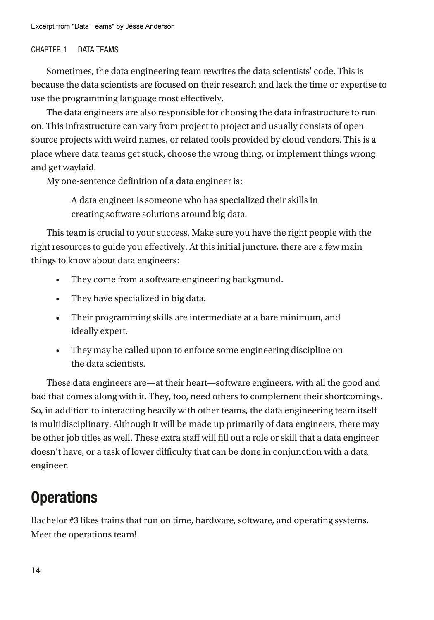Sometimes, the data engineering team rewrites the data scientists' code. This is because the data scientists are focused on their research and lack the time or expertise to use the programming language most effectively.

The data engineers are also responsible for choosing the data infrastructure to run on. This infrastructure can vary from project to project and usually consists of open source projects with weird names, or related tools provided by cloud vendors. This is a place where data teams get stuck, choose the wrong thing, or implement things wrong and get waylaid.

My one-sentence definition of a data engineer is:

A data engineer is someone who has specialized their skills in creating software solutions around big data.

This team is crucial to your success. Make sure you have the right people with the right resources to guide you effectively. At this initial juncture, there are a few main things to know about data engineers:

- They come from a software engineering background.
- They have specialized in big data.
- Their programming skills are intermediate at a bare minimum, and ideally expert.
- They may be called upon to enforce some engineering discipline on the data scientists.

These data engineers are—at their heart—software engineers, with all the good and bad that comes along with it. They, too, need others to complement their shortcomings. So, in addition to interacting heavily with other teams, the data engineering team itself is multidisciplinary. Although it will be made up primarily of data engineers, there may be other job titles as well. These extra staff will fill out a role or skill that a data engineer doesn't have, or a task of lower difficulty that can be done in conjunction with a data engineer.

## **Operations**

Bachelor #3 likes trains that run on time, hardware, software, and operating systems. Meet the operations team!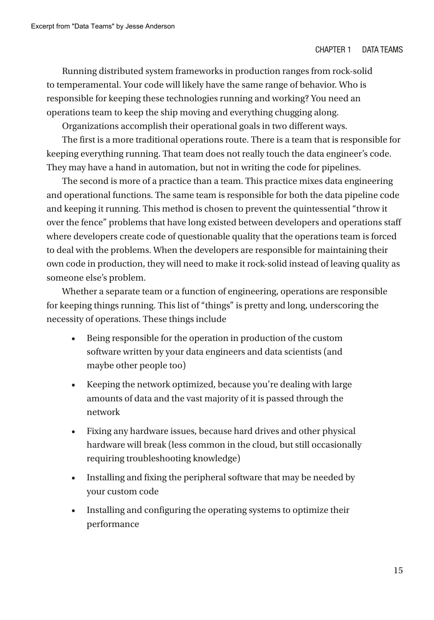Running distributed system frameworks in production ranges from rock-solid to temperamental. Your code will likely have the same range of behavior. Who is responsible for keeping these technologies running and working? You need an operations team to keep the ship moving and everything chugging along.

Organizations accomplish their operational goals in two different ways.

The first is a more traditional operations route. There is a team that is responsible for keeping everything running. That team does not really touch the data engineer's code. They may have a hand in automation, but not in writing the code for pipelines.

The second is more of a practice than a team. This practice mixes data engineering and operational functions. The same team is responsible for both the data pipeline code and keeping it running. This method is chosen to prevent the quintessential "throw it over the fence" problems that have long existed between developers and operations staff where developers create code of questionable quality that the operations team is forced to deal with the problems. When the developers are responsible for maintaining their own code in production, they will need to make it rock-solid instead of leaving quality as someone else's problem.

Whether a separate team or a function of engineering, operations are responsible for keeping things running. This list of "things" is pretty and long, underscoring the necessity of operations. These things include

- Being responsible for the operation in production of the custom software written by your data engineers and data scientists (and maybe other people too)
- Keeping the network optimized, because you're dealing with large amounts of data and the vast majority of it is passed through the network
- Fixing any hardware issues, because hard drives and other physical hardware will break (less common in the cloud, but still occasionally requiring troubleshooting knowledge)
- Installing and fixing the peripheral software that may be needed by your custom code
- Installing and configuring the operating systems to optimize their performance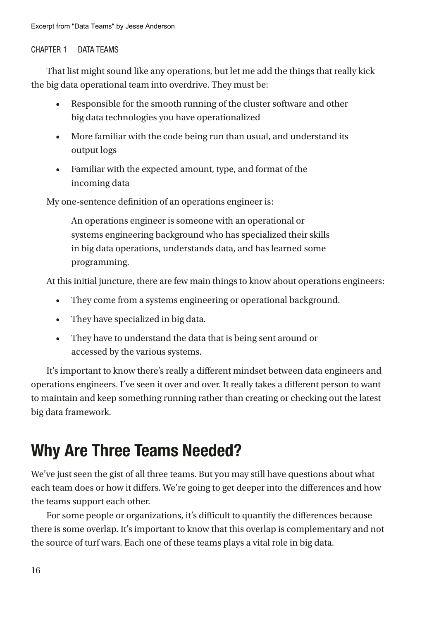That list might sound like any operations, but let me add the things that really kick the big data operational team into overdrive. They must be:

- Responsible for the smooth running of the cluster software and other big data technologies you have operationalized
- More familiar with the code being run than usual, and understand its output logs
- Familiar with the expected amount, type, and format of the incoming data

My one-sentence definition of an operations engineer is:

An operations engineer is someone with an operational or systems engineering background who has specialized their skills in big data operations, understands data, and has learned some programming.

At this initial juncture, there are few main things to know about operations engineers:

- They come from a systems engineering or operational background.
- They have specialized in big data.
- They have to understand the data that is being sent around or accessed by the various systems.

It's important to know there's really a different mindset between data engineers and operations engineers. I've seen it over and over. It really takes a different person to want to maintain and keep something running rather than creating or checking out the latest big data framework.

## Why Are Three Teams Needed?

We've just seen the gist of all three teams. But you may still have questions about what each team does or how it differs. We're going to get deeper into the differences and how the teams support each other.

For some people or organizations, it's difficult to quantify the differences because there is some overlap. It's important to know that this overlap is complementary and not the source of turf wars. Each one of these teams plays a vital role in big data.